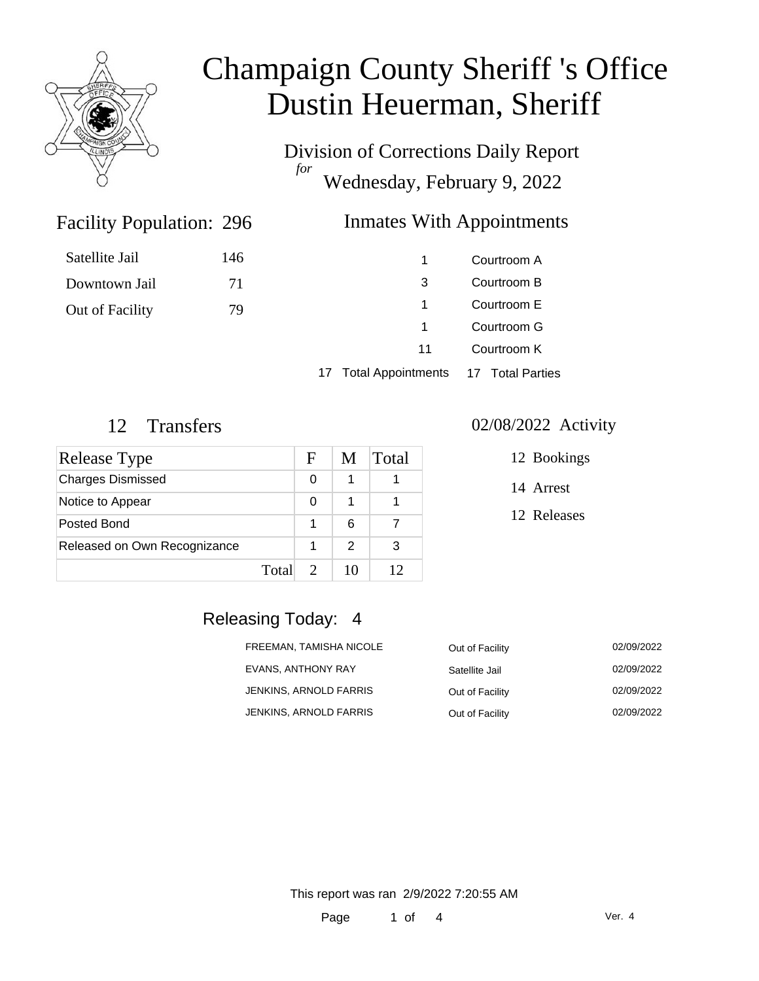

# Champaign County Sheriff 's Office Dustin Heuerman, Sheriff

Division of Corrections Daily Report *for* Wednesday, February 9, 2022

### Inmates With Appointments

| 1  | Courtroom A |
|----|-------------|
| 3  | Courtroom B |
| 1  | Courtroom E |
| 1  | Courtroom G |
| 11 | Courtroom K |
|    |             |

17 Total Appointments 17 Total Parties

Facility Population: 296

Satellite Jail 146

Downtown Jail 71

Out of Facility 79

| Release Type                 |       | F | M             | Total |
|------------------------------|-------|---|---------------|-------|
| <b>Charges Dismissed</b>     |       | 0 |               |       |
| Notice to Appear             |       | O |               |       |
| Posted Bond                  |       |   | 6             |       |
| Released on Own Recognizance |       |   | $\mathcal{P}$ | 3     |
|                              | Total |   | 10            | 12    |

#### 12 Transfers 02/08/2022 Activity

12 Bookings

14 Arrest

12 Releases

### Releasing Today: 4

| FREEMAN, TAMISHA NICOLE | Out of Facility | 02/09/2022 |
|-------------------------|-----------------|------------|
| EVANS, ANTHONY RAY      | Satellite Jail  | 02/09/2022 |
| JENKINS, ARNOLD FARRIS  | Out of Facility | 02/09/2022 |
| JENKINS, ARNOLD FARRIS  | Out of Facility | 02/09/2022 |

This report was ran 2/9/2022 7:20:55 AM

Page 1 of 4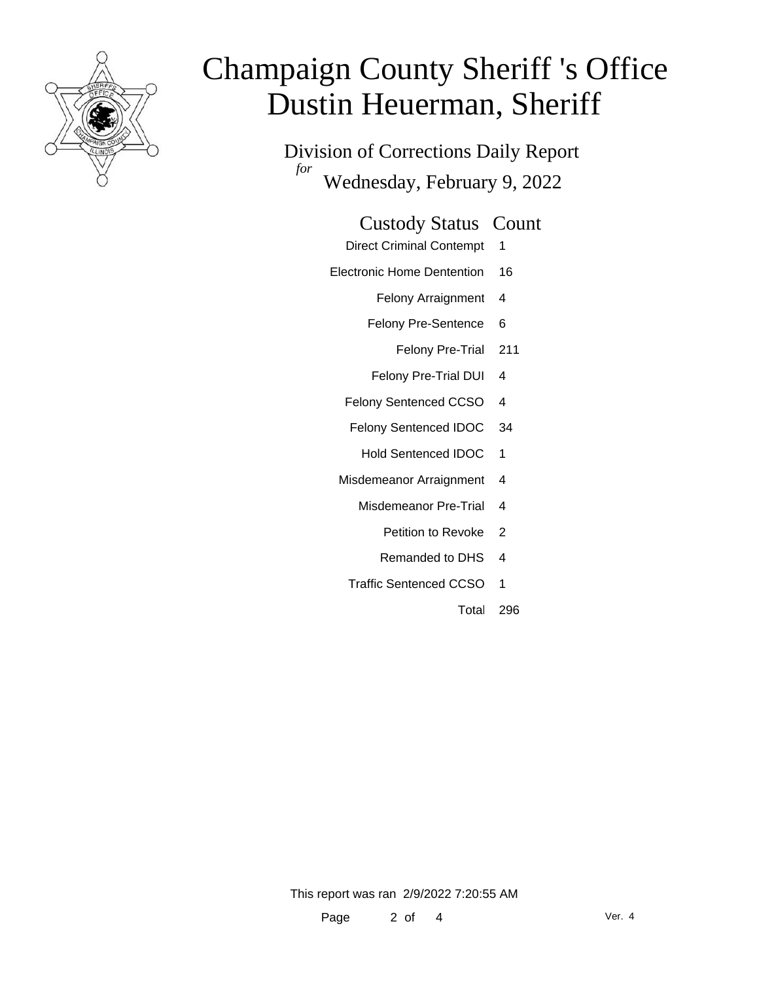

# Champaign County Sheriff 's Office Dustin Heuerman, Sheriff

Division of Corrections Daily Report *for* Wednesday, February 9, 2022

### Custody Status Count

- Direct Criminal Contempt 1
- Electronic Home Dentention 16
	- Felony Arraignment 4
	- Felony Pre-Sentence 6
		- Felony Pre-Trial 211
	- Felony Pre-Trial DUI 4
	- Felony Sentenced CCSO 4
	- Felony Sentenced IDOC 34
		- Hold Sentenced IDOC 1
	- Misdemeanor Arraignment 4
		- Misdemeanor Pre-Trial 4
			- Petition to Revoke 2
			- Remanded to DHS 4
		- Traffic Sentenced CCSO 1
			- Total 296

This report was ran 2/9/2022 7:20:55 AM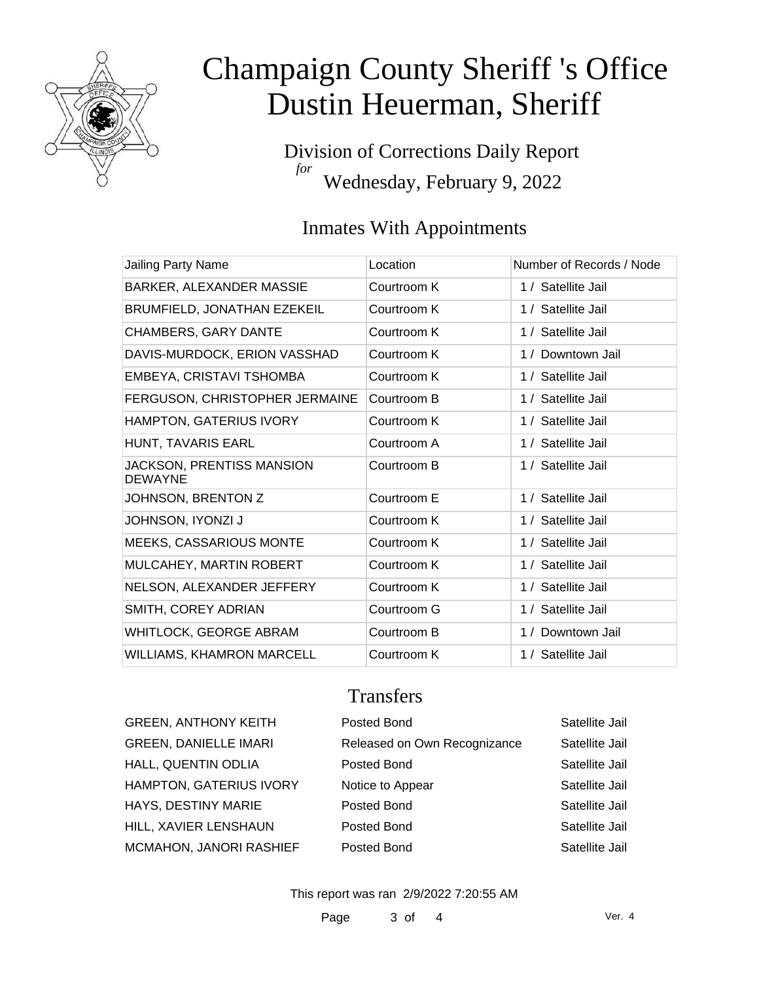

# Champaign County Sheriff 's Office Dustin Heuerman, Sheriff

Division of Corrections Daily Report *for* Wednesday, February 9, 2022

## Inmates With Appointments

| Jailing Party Name                                 | Location    | Number of Records / Node |
|----------------------------------------------------|-------------|--------------------------|
| BARKER, ALEXANDER MASSIE                           | Courtroom K | 1 / Satellite Jail       |
| BRUMFIELD, JONATHAN EZEKEIL                        | Courtroom K | 1 / Satellite Jail       |
| <b>CHAMBERS, GARY DANTE</b>                        | Courtroom K | 1 / Satellite Jail       |
| DAVIS-MURDOCK, ERION VASSHAD                       | Courtroom K | 1 / Downtown Jail        |
| EMBEYA, CRISTAVI TSHOMBA                           | Courtroom K | 1 / Satellite Jail       |
| FERGUSON, CHRISTOPHER JERMAINE                     | Courtroom B | 1 / Satellite Jail       |
| <b>HAMPTON, GATERIUS IVORY</b>                     | Courtroom K | 1 / Satellite Jail       |
| HUNT, TAVARIS EARL                                 | Courtroom A | 1 / Satellite Jail       |
| <b>JACKSON, PRENTISS MANSION</b><br><b>DEWAYNE</b> | Courtroom B | 1 / Satellite Jail       |
| JOHNSON, BRENTON Z                                 | Courtroom E | 1 / Satellite Jail       |
| JOHNSON, IYONZI J                                  | Courtroom K | 1 / Satellite Jail       |
| <b>MEEKS, CASSARIOUS MONTE</b>                     | Courtroom K | 1 / Satellite Jail       |
| MULCAHEY, MARTIN ROBERT                            | Courtroom K | 1 / Satellite Jail       |
| NELSON, ALEXANDER JEFFERY                          | Courtroom K | 1 / Satellite Jail       |
| SMITH, COREY ADRIAN                                | Courtroom G | 1 / Satellite Jail       |
| <b>WHITLOCK, GEORGE ABRAM</b>                      | Courtroom B | 1 / Downtown Jail        |
| WILLIAMS, KHAMRON MARCELL                          | Courtroom K | 1 / Satellite Jail       |

### **Transfers**

| <b>GREEN, ANTHONY KEITH</b>    | Posted Bond                  | Satellite Jail |
|--------------------------------|------------------------------|----------------|
| <b>GREEN, DANIELLE IMARI</b>   | Released on Own Recognizance | Satellite Jail |
| HALL, QUENTIN ODLIA            | Posted Bond                  | Satellite Jail |
| <b>HAMPTON, GATERIUS IVORY</b> | Notice to Appear             | Satellite Jail |
| HAYS, DESTINY MARIE            | Posted Bond                  | Satellite Jail |
| HILL, XAVIER LENSHAUN          | Posted Bond                  | Satellite Jail |
| MCMAHON, JANORI RASHIEF        | Posted Bond                  | Satellite Jail |

This report was ran 2/9/2022 7:20:55 AM